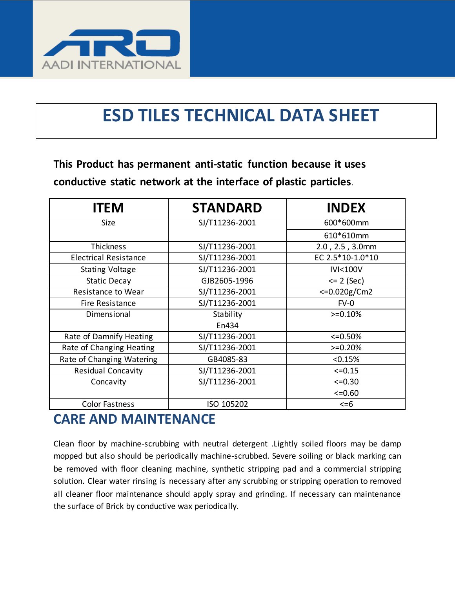

# **ESD TILES TECHNICAL DATA SHEET**

**This Product has permanent anti-static function because it uses conductive static network at the interface of plastic particles**.

| <b>ITEM</b>                  | <b>STANDARD</b> | <b>INDEX</b>       |
|------------------------------|-----------------|--------------------|
| Size                         | SJ/T11236-2001  | 600*600mm          |
|                              |                 | 610*610mm          |
| <b>Thickness</b>             | SJ/T11236-2001  | 2.0, 2.5, 3.0mm    |
| <b>Electrical Resistance</b> | SJ/T11236-2001  | EC 2.5*10-1.0*10   |
| <b>Stating Voltage</b>       | SJ/T11236-2001  | <b>IVI&lt;100V</b> |
| Static Decay                 | GJB2605-1996    | $= 2 (Sec)$        |
| Resistance to Wear           | SJ/T11236-2001  | $<=0.020g/cm2$     |
| Fire Resistance              | SJ/T11236-2001  | $FV-0$             |
| Dimensional                  | Stability       | $>=0.10%$          |
|                              | En434           |                    |
| Rate of Damnify Heating      | SJ/T11236-2001  | $<=0.50%$          |
| Rate of Changing Heating     | SJ/T11236-2001  | $>=0.20%$          |
| Rate of Changing Watering    | GB4085-83       | < 0.15%            |
| <b>Residual Concavity</b>    | SJ/T11236-2001  | $<=0.15$           |
| Concavity                    | SJ/T11236-2001  | $<=0.30$           |
|                              |                 | $<=0.60$           |
| <b>Color Fastness</b>        | ISO 105202      | $\leq$ =6          |

#### **CARE AND MAINTENANCE**

Clean floor by machine-scrubbing with neutral detergent .Lightly soiled floors may be damp mopped but also should be periodically machine-scrubbed. Severe soiling or black marking can be removed with floor cleaning machine, synthetic stripping pad and a commercial stripping solution. Clear water rinsing is necessary after any scrubbing or stripping operation to removed all cleaner floor maintenance should apply spray and grinding. If necessary can maintenance the surface of Brick by conductive wax periodically.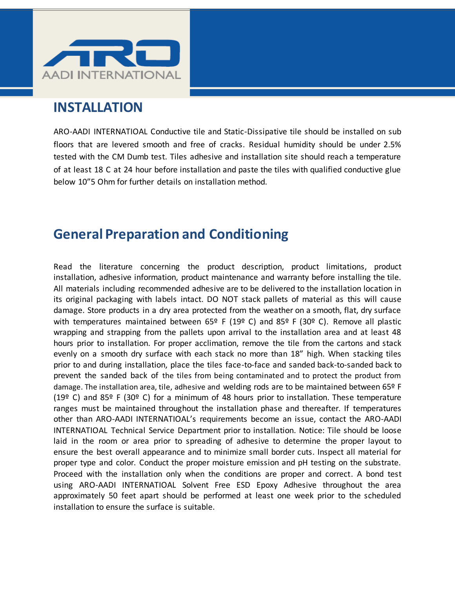

#### **INSTALLATION**

ARO-AADI INTERNATIOAL Conductive tile and Static-Dissipative tile should be installed on sub floors that are levered smooth and free of cracks. Residual humidity should be under 2.5% tested with the CM Dumb test. Tiles adhesive and installation site should reach a temperature of at least 18 C at 24 hour before installation and paste the tiles with qualified conductive glue below 10"5 Ohm for further details on installation method.

### **General Preparation and Conditioning**

Read the literature concerning the product description, product limitations, product installation, adhesive information, product maintenance and warranty before installing the tile. All materials including recommended adhesive are to be delivered to the installation location in its original packaging with labels intact. DO NOT stack pallets of material as this will cause damage. Store products in a dry area protected from the weather on a smooth, flat, dry surface with temperatures maintained between  $65^{\circ}$  F (19° C) and  $85^{\circ}$  F (30° C). Remove all plastic wrapping and strapping from the pallets upon arrival to the installation area and at least 48 hours prior to installation. For proper acclimation, remove the tile from the cartons and stack evenly on a smooth dry surface with each stack no more than 18" high. When stacking tiles prior to and during installation, place the tiles face-to-face and sanded back-to-sanded back to prevent the sanded back of the tiles from being contaminated and to protect the product from damage. The installation area, tile, adhesive and welding rods are to be maintained between 65º F (19<sup>o</sup> C) and 85<sup>o</sup> F (30<sup>o</sup> C) for a minimum of 48 hours prior to installation. These temperature ranges must be maintained throughout the installation phase and thereafter. If temperatures other than ARO-AADI INTERNATIOAL's requirements become an issue, contact the ARO-AADI INTERNATIOAL Technical Service Department prior to installation. Notice: Tile should be loose laid in the room or area prior to spreading of adhesive to determine the proper layout to ensure the best overall appearance and to minimize small border cuts. Inspect all material for proper type and color. Conduct the proper moisture emission and pH testing on the substrate. Proceed with the installation only when the conditions are proper and correct. A bond test using ARO-AADI INTERNATIOAL Solvent Free ESD Epoxy Adhesive throughout the area approximately 50 feet apart should be performed at least one week prior to the scheduled installation to ensure the surface is suitable.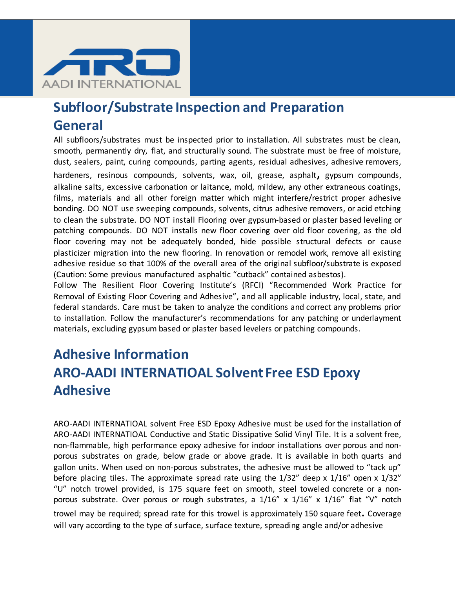

# **Subfloor/Substrate Inspection and Preparation General**

All subfloors/substrates must be inspected prior to installation. All substrates must be clean, smooth, permanently dry, flat, and structurally sound. The substrate must be free of moisture, dust, sealers, paint, curing compounds, parting agents, residual adhesives, adhesive removers,

hardeners, resinous compounds, solvents, wax, oil, grease, asphalt**,** gypsum compounds, alkaline salts, excessive carbonation or laitance, mold, mildew, any other extraneous coatings, films, materials and all other foreign matter which might interfere/restrict proper adhesive bonding. DO NOT use sweeping compounds, solvents, citrus adhesive removers, or acid etching to clean the substrate. DO NOT install Flooring over gypsum-based or plaster based leveling or patching compounds. DO NOT installs new floor covering over old floor covering, as the old floor covering may not be adequately bonded, hide possible structural defects or cause plasticizer migration into the new flooring. In renovation or remodel work, remove all existing adhesive residue so that 100% of the overall area of the original subfloor/substrate is exposed (Caution: Some previous manufactured asphaltic "cutback" contained asbestos).

Follow The Resilient Floor Covering Institute's (RFCI) "Recommended Work Practice for Removal of Existing Floor Covering and Adhesive", and all applicable industry, local, state, and federal standards. Care must be taken to analyze the conditions and correct any problems prior to installation. Follow the manufacturer's recommendations for any patching or underlayment materials, excluding gypsum based or plaster based levelers or patching compounds.

# **Adhesive Information ARO-AADI INTERNATIOAL Solvent Free ESD Epoxy Adhesive**

ARO-AADI INTERNATIOAL solvent Free ESD Epoxy Adhesive must be used for the installation of ARO-AADI INTERNATIOAL Conductive and Static Dissipative Solid Vinyl Tile. It is a solvent free, non-flammable, high performance epoxy adhesive for indoor installations over porous and nonporous substrates on grade, below grade or above grade. It is available in both quarts and gallon units. When used on non-porous substrates, the adhesive must be allowed to "tack up" before placing tiles. The approximate spread rate using the 1/32" deep x 1/16" open x 1/32" "U" notch trowel provided, is 175 square feet on smooth, steel toweled concrete or a nonporous substrate. Over porous or rough substrates, a 1/16" x 1/16" x 1/16" flat "V" notch trowel may be required; spread rate for this trowel is approximately 150 square feet**.** Coverage will vary according to the type of surface, surface texture, spreading angle and/or adhesive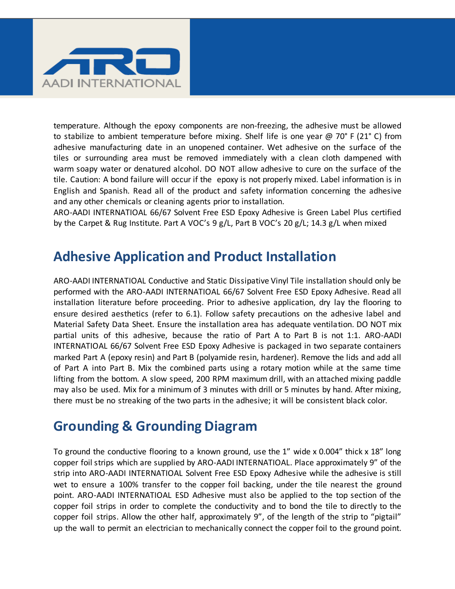

temperature. Although the epoxy components are non-freezing, the adhesive must be allowed to stabilize to ambient temperature before mixing. Shelf life is one year  $\omega$  70° F (21° C) from adhesive manufacturing date in an unopened container. Wet adhesive on the surface of the tiles or surrounding area must be removed immediately with a clean cloth dampened with warm soapy water or denatured alcohol. DO NOT allow adhesive to cure on the surface of the tile. Caution: A bond failure will occur if the epoxy is not properly mixed. Label information is in English and Spanish. Read all of the product and safety information concerning the adhesive and any other chemicals or cleaning agents prior to installation.

ARO-AADI INTERNATIOAL 66/67 Solvent Free ESD Epoxy Adhesive is Green Label Plus certified by the Carpet & Rug Institute. Part A VOC's 9 g/L, Part B VOC's 20 g/L; 14.3 g/L when mixed

### **Adhesive Application and Product Installation**

ARO-AADI INTERNATIOAL Conductive and Static Dissipative Vinyl Tile installation should only be performed with the ARO-AADI INTERNATIOAL 66/67 Solvent Free ESD Epoxy Adhesive. Read all installation literature before proceeding. Prior to adhesive application, dry lay the flooring to ensure desired aesthetics (refer to 6.1). Follow safety precautions on the adhesive label and Material Safety Data Sheet. Ensure the installation area has adequate ventilation. DO NOT mix partial units of this adhesive, because the ratio of Part A to Part B is not 1:1. ARO-AADI INTERNATIOAL 66/67 Solvent Free ESD Epoxy Adhesive is packaged in two separate containers marked Part A (epoxy resin) and Part B (polyamide resin, hardener). Remove the lids and add all of Part A into Part B. Mix the combined parts using a rotary motion while at the same time lifting from the bottom. A slow speed, 200 RPM maximum drill, with an attached mixing paddle may also be used. Mix for a minimum of 3 minutes with drill or 5 minutes by hand. After mixing, there must be no streaking of the two parts in the adhesive; it will be consistent black color.

### **Grounding & Grounding Diagram**

To ground the conductive flooring to a known ground, use the 1" wide x 0.004" thick x 18" long copper foil strips which are supplied by ARO-AADI INTERNATIOAL. Place approximately 9" of the strip into ARO-AADI INTERNATIOAL Solvent Free ESD Epoxy Adhesive while the adhesive is still wet to ensure a 100% transfer to the copper foil backing, under the tile nearest the ground point. ARO-AADI INTERNATIOAL ESD Adhesive must also be applied to the top section of the copper foil strips in order to complete the conductivity and to bond the tile to directly to the copper foil strips. Allow the other half, approximately 9", of the length of the strip to "pigtail" up the wall to permit an electrician to mechanically connect the copper foil to the ground point.